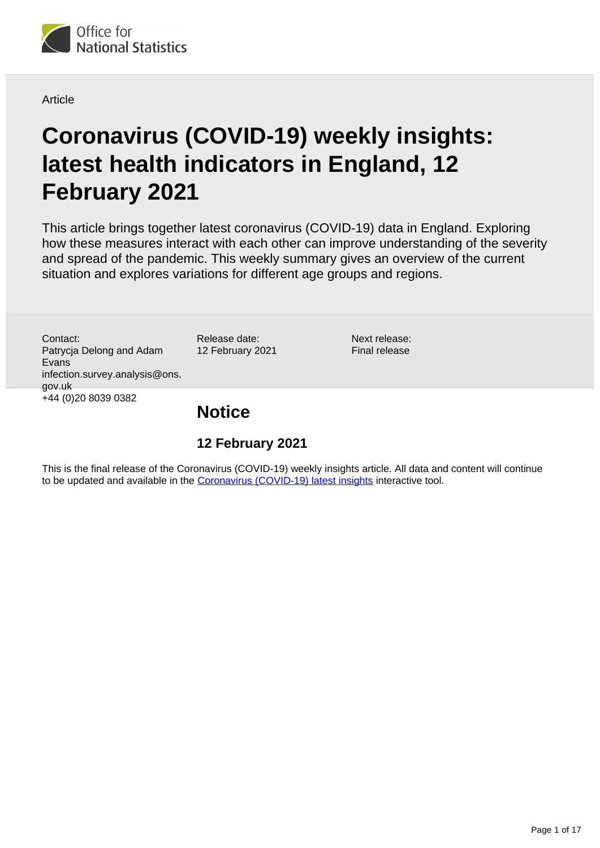

#### **Article**

# **Coronavirus (COVID-19) weekly insights: latest health indicators in England, 12 February 2021**

This article brings together latest coronavirus (COVID-19) data in England. Exploring how these measures interact with each other can improve understanding of the severity and spread of the pandemic. This weekly summary gives an overview of the current situation and explores variations for different age groups and regions.

Contact: Patrycja Delong and Adam Evans infection.survey.analysis@ons. gov.uk +44 (0)20 8039 0382

Release date: 12 February 2021 Next release: Final release

### **Notice**

### **12 February 2021**

This is the final release of the Coronavirus (COVID-19) weekly insights article. All data and content will continue to be updated and available in the [Coronavirus \(COVID-19\) latest insights](https://www.ons.gov.uk/peoplepopulationandcommunity/healthandsocialcare/conditionsanddiseases/articles/coronaviruscovid19/latestinsights) interactive tool.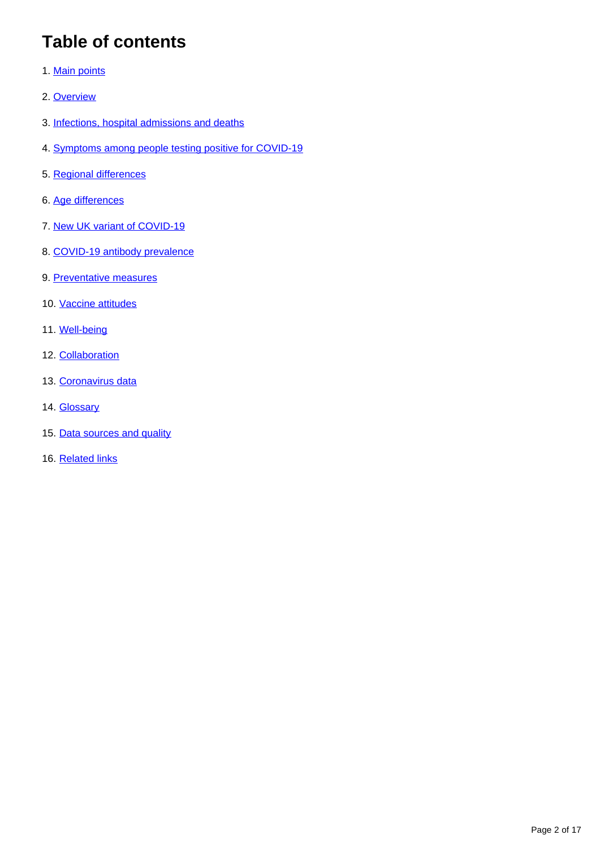## **Table of contents**

- 1. [Main points](#page-2-0)
- 2. [Overview](#page-2-1)
- 3. [Infections, hospital admissions and deaths](#page-3-0)
- 4. [Symptoms among people testing positive for COVID-19](#page-4-0)
- 5. [Regional differences](#page-6-0)
- 6. [Age differences](#page-7-0)
- 7. [New UK variant of COVID-19](#page-8-0)
- 8. [COVID-19 antibody prevalence](#page-9-0)
- 9. [Preventative measures](#page-9-1)
- 10. [Vaccine attitudes](#page-11-0)
- 11. [Well-being](#page-12-0)
- 12. [Collaboration](#page-12-1)
- 13. [Coronavirus data](#page-13-0)
- 14. **[Glossary](#page-13-1)**
- 15. [Data sources and quality](#page-14-0)
- 16. [Related links](#page-16-0)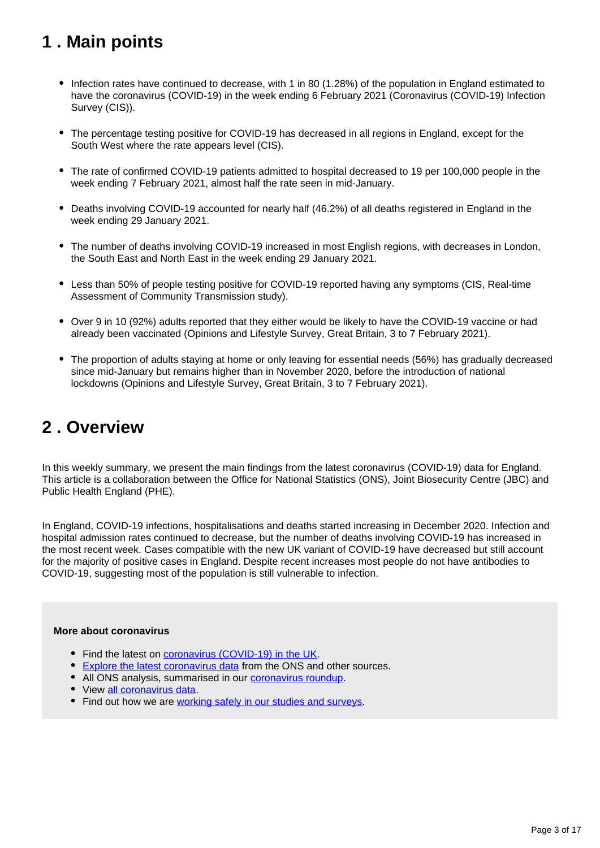## <span id="page-2-0"></span>**1 . Main points**

- Infection rates have continued to decrease, with 1 in 80 (1.28%) of the population in England estimated to have the coronavirus (COVID-19) in the week ending 6 February 2021 (Coronavirus (COVID-19) Infection Survey (CIS)).
- The percentage testing positive for COVID-19 has decreased in all regions in England, except for the South West where the rate appears level (CIS).
- The rate of confirmed COVID-19 patients admitted to hospital decreased to 19 per 100,000 people in the week ending 7 February 2021, almost half the rate seen in mid-January.
- Deaths involving COVID-19 accounted for nearly half (46.2%) of all deaths registered in England in the week ending 29 January 2021.
- The number of deaths involving COVID-19 increased in most English regions, with decreases in London, the South East and North East in the week ending 29 January 2021.
- Less than 50% of people testing positive for COVID-19 reported having any symptoms (CIS, Real-time Assessment of Community Transmission study).
- Over 9 in 10 (92%) adults reported that they either would be likely to have the COVID-19 vaccine or had already been vaccinated (Opinions and Lifestyle Survey, Great Britain, 3 to 7 February 2021).
- The proportion of adults staying at home or only leaving for essential needs (56%) has gradually decreased since mid-January but remains higher than in November 2020, before the introduction of national lockdowns (Opinions and Lifestyle Survey, Great Britain, 3 to 7 February 2021).

## <span id="page-2-1"></span>**2 . Overview**

In this weekly summary, we present the main findings from the latest coronavirus (COVID-19) data for England. This article is a collaboration between the Office for National Statistics (ONS), Joint Biosecurity Centre (JBC) and Public Health England (PHE).

In England, COVID-19 infections, hospitalisations and deaths started increasing in December 2020. Infection and hospital admission rates continued to decrease, but the number of deaths involving COVID-19 has increased in the most recent week. Cases compatible with the new UK variant of COVID-19 have decreased but still account for the majority of positive cases in England. Despite recent increases most people do not have antibodies to COVID-19, suggesting most of the population is still vulnerable to infection.

#### **More about coronavirus**

- Find the latest on **coronavirus (COVID-19)** in the UK.
- **[Explore the latest coronavirus data](https://www.ons.gov.uk/peoplepopulationandcommunity/healthandsocialcare/conditionsanddiseases/articles/coronaviruscovid19/latestinsights) from the ONS and other sources.**
- All ONS analysis, summarised in our [coronavirus roundup.](https://www.ons.gov.uk/peoplepopulationandcommunity/healthandsocialcare/conditionsanddiseases/articles/coronaviruscovid19roundup/latest)
- View [all coronavirus data](https://www.ons.gov.uk/peoplepopulationandcommunity/healthandsocialcare/conditionsanddiseases/datalist).
- Find out how we are [working safely in our studies and surveys.](https://www.ons.gov.uk/news/statementsandletters/ensuringyoursafetyduringcovid19)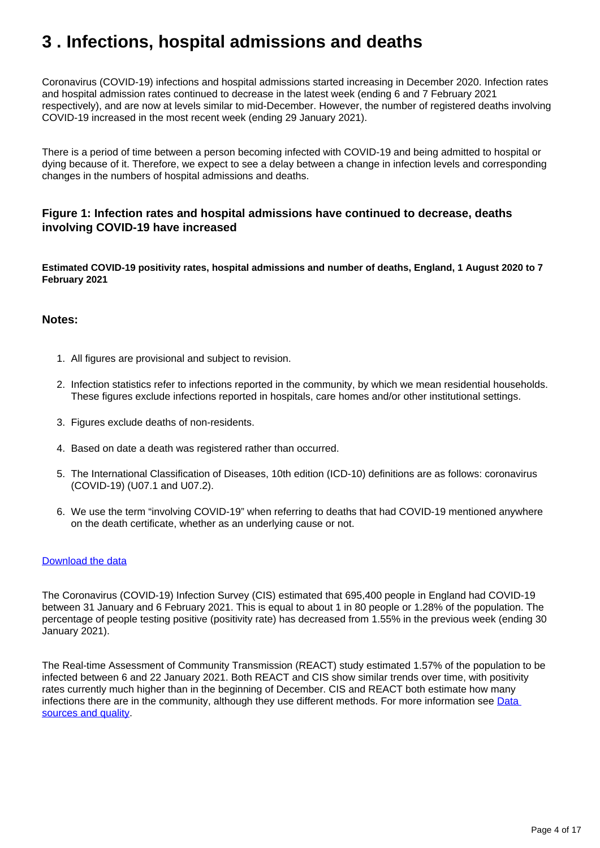## <span id="page-3-0"></span>**3 . Infections, hospital admissions and deaths**

Coronavirus (COVID-19) infections and hospital admissions started increasing in December 2020. Infection rates and hospital admission rates continued to decrease in the latest week (ending 6 and 7 February 2021 respectively), and are now at levels similar to mid-December. However, the number of registered deaths involving COVID-19 increased in the most recent week (ending 29 January 2021).

There is a period of time between a person becoming infected with COVID-19 and being admitted to hospital or dying because of it. Therefore, we expect to see a delay between a change in infection levels and corresponding changes in the numbers of hospital admissions and deaths.

#### **Figure 1: Infection rates and hospital admissions have continued to decrease, deaths involving COVID-19 have increased**

**Estimated COVID-19 positivity rates, hospital admissions and number of deaths, England, 1 August 2020 to 7 February 2021**

#### **Notes:**

- 1. All figures are provisional and subject to revision.
- 2. Infection statistics refer to infections reported in the community, by which we mean residential households. These figures exclude infections reported in hospitals, care homes and/or other institutional settings.
- 3. Figures exclude deaths of non-residents.
- 4. Based on date a death was registered rather than occurred.
- 5. The International Classification of Diseases, 10th edition (ICD-10) definitions are as follows: coronavirus (COVID-19) (U07.1 and U07.2).
- 6. We use the term "involving COVID-19" when referring to deaths that had COVID-19 mentioned anywhere on the death certificate, whether as an underlying cause or not.

#### [Download the data](https://www.ons.gov.uk/visualisations/dvc1193/fig1/wrappere/datadownload.xlsx)

The Coronavirus (COVID-19) Infection Survey (CIS) estimated that 695,400 people in England had COVID-19 between 31 January and 6 February 2021. This is equal to about 1 in 80 people or 1.28% of the population. The percentage of people testing positive (positivity rate) has decreased from 1.55% in the previous week (ending 30 January 2021).

The Real-time Assessment of Community Transmission (REACT) study estimated 1.57% of the population to be infected between 6 and 22 January 2021. Both REACT and CIS show similar trends over time, with positivity rates currently much higher than in the beginning of December. CIS and REACT both estimate how many infections there are in the community, although they use different methods. For more information see [Data](https://www.ons.gov.uk/peoplepopulationandcommunity/healthandsocialcare/conditionsanddiseases/articles/coronaviruscovid19weeklyinsights/latesthealthindicatorsinengland12february2021#data-sources-and-quality)  [sources and quality.](https://www.ons.gov.uk/peoplepopulationandcommunity/healthandsocialcare/conditionsanddiseases/articles/coronaviruscovid19weeklyinsights/latesthealthindicatorsinengland12february2021#data-sources-and-quality)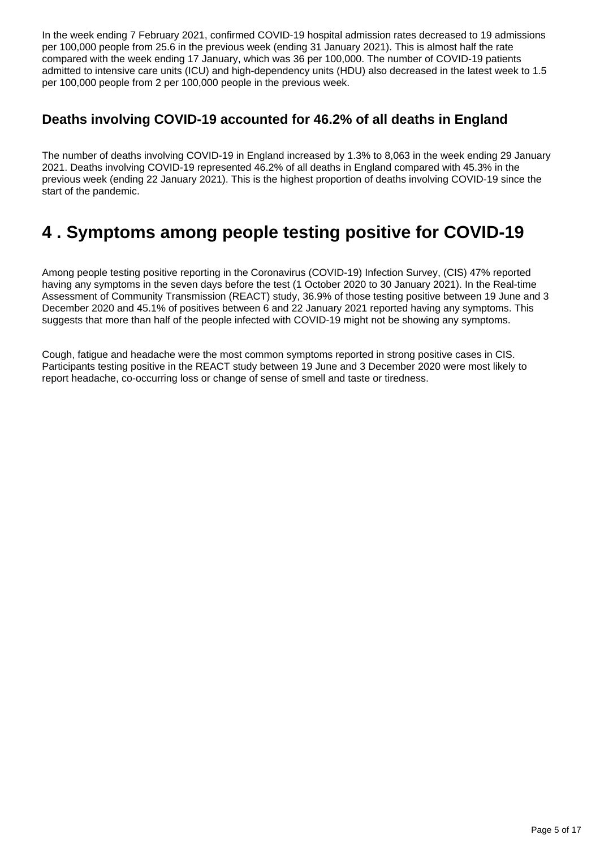In the week ending 7 February 2021, confirmed COVID-19 hospital admission rates decreased to 19 admissions per 100,000 people from 25.6 in the previous week (ending 31 January 2021). This is almost half the rate compared with the week ending 17 January, which was 36 per 100,000. The number of COVID-19 patients admitted to intensive care units (ICU) and high-dependency units (HDU) also decreased in the latest week to 1.5 per 100,000 people from 2 per 100,000 people in the previous week.

### **Deaths involving COVID-19 accounted for 46.2% of all deaths in England**

The number of deaths involving COVID-19 in England increased by 1.3% to 8,063 in the week ending 29 January 2021. Deaths involving COVID-19 represented 46.2% of all deaths in England compared with 45.3% in the previous week (ending 22 January 2021). This is the highest proportion of deaths involving COVID-19 since the start of the pandemic.

## <span id="page-4-0"></span>**4 . Symptoms among people testing positive for COVID-19**

Among people testing positive reporting in the Coronavirus (COVID-19) Infection Survey, (CIS) 47% reported having any symptoms in the seven days before the test (1 October 2020 to 30 January 2021). In the Real-time Assessment of Community Transmission (REACT) study, 36.9% of those testing positive between 19 June and 3 December 2020 and 45.1% of positives between 6 and 22 January 2021 reported having any symptoms. This suggests that more than half of the people infected with COVID-19 might not be showing any symptoms.

Cough, fatigue and headache were the most common symptoms reported in strong positive cases in CIS. Participants testing positive in the REACT study between 19 June and 3 December 2020 were most likely to report headache, co-occurring loss or change of sense of smell and taste or tiredness.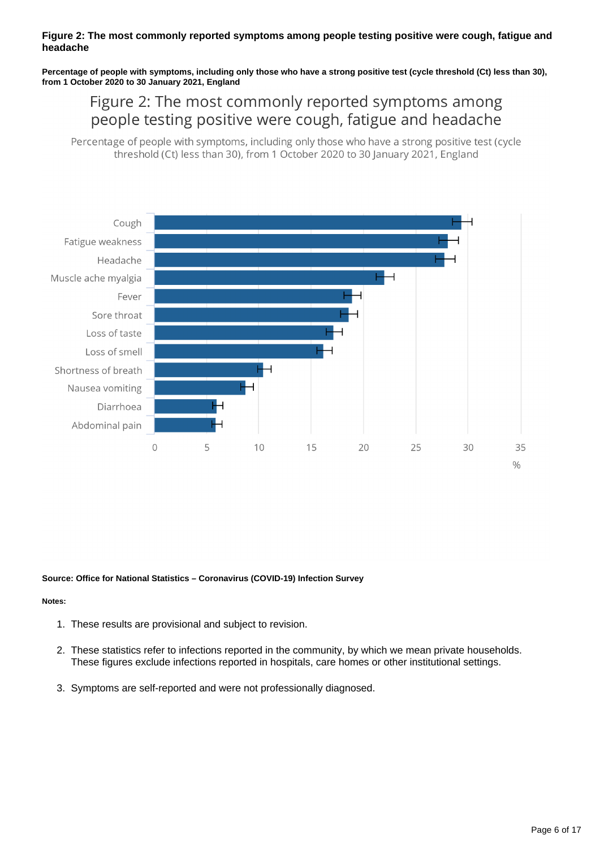#### **Figure 2: The most commonly reported symptoms among people testing positive were cough, fatigue and headache**

**Percentage of people with symptoms, including only those who have a strong positive test (cycle threshold (Ct) less than 30), from 1 October 2020 to 30 January 2021, England**

### Figure 2: The most commonly reported symptoms among people testing positive were cough, fatigue and headache

Percentage of people with symptoms, including only those who have a strong positive test (cycle threshold (Ct) less than 30), from 1 October 2020 to 30 January 2021, England



#### **Source: Office for National Statistics – Coronavirus (COVID-19) Infection Survey**

#### **Notes:**

- 1. These results are provisional and subject to revision.
- 2. These statistics refer to infections reported in the community, by which we mean private households. These figures exclude infections reported in hospitals, care homes or other institutional settings.
- 3. Symptoms are self-reported and were not professionally diagnosed.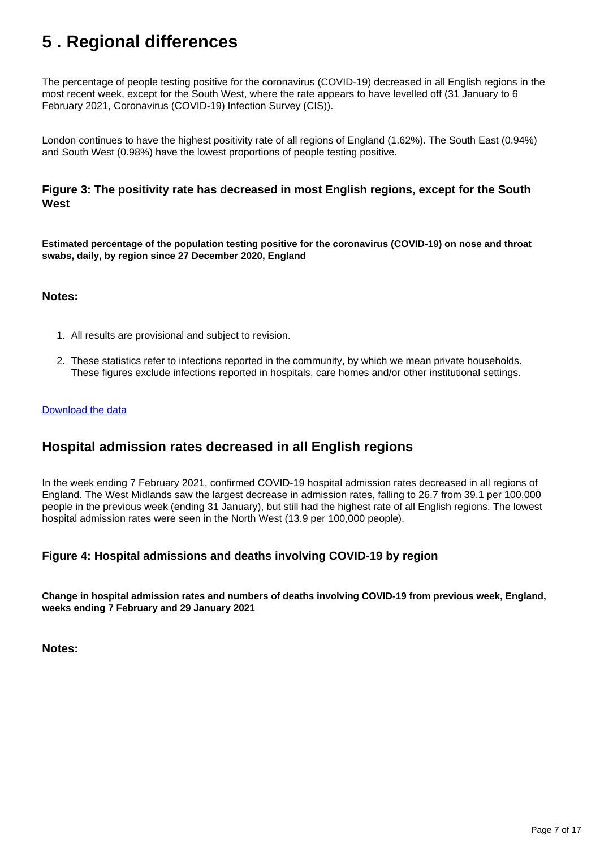## <span id="page-6-0"></span>**5 . Regional differences**

The percentage of people testing positive for the coronavirus (COVID-19) decreased in all English regions in the most recent week, except for the South West, where the rate appears to have levelled off (31 January to 6 February 2021, Coronavirus (COVID-19) Infection Survey (CIS)).

London continues to have the highest positivity rate of all regions of England (1.62%). The South East (0.94%) and South West (0.98%) have the lowest proportions of people testing positive.

#### **Figure 3: The positivity rate has decreased in most English regions, except for the South West**

**Estimated percentage of the population testing positive for the coronavirus (COVID-19) on nose and throat swabs, daily, by region since 27 December 2020, England**

#### **Notes:**

- 1. All results are provisional and subject to revision.
- 2. These statistics refer to infections reported in the community, by which we mean private households. These figures exclude infections reported in hospitals, care homes and/or other institutional settings.

#### [Download the data](https://www.ons.gov.uk/visualisations/dvc1192/region/datadownload.xlsx)

### **Hospital admission rates decreased in all English regions**

In the week ending 7 February 2021, confirmed COVID-19 hospital admission rates decreased in all regions of England. The West Midlands saw the largest decrease in admission rates, falling to 26.7 from 39.1 per 100,000 people in the previous week (ending 31 January), but still had the highest rate of all English regions. The lowest hospital admission rates were seen in the North West (13.9 per 100,000 people).

#### **Figure 4: Hospital admissions and deaths involving COVID-19 by region**

**Change in hospital admission rates and numbers of deaths involving COVID-19 from previous week, England, weeks ending 7 February and 29 January 2021**

**Notes:**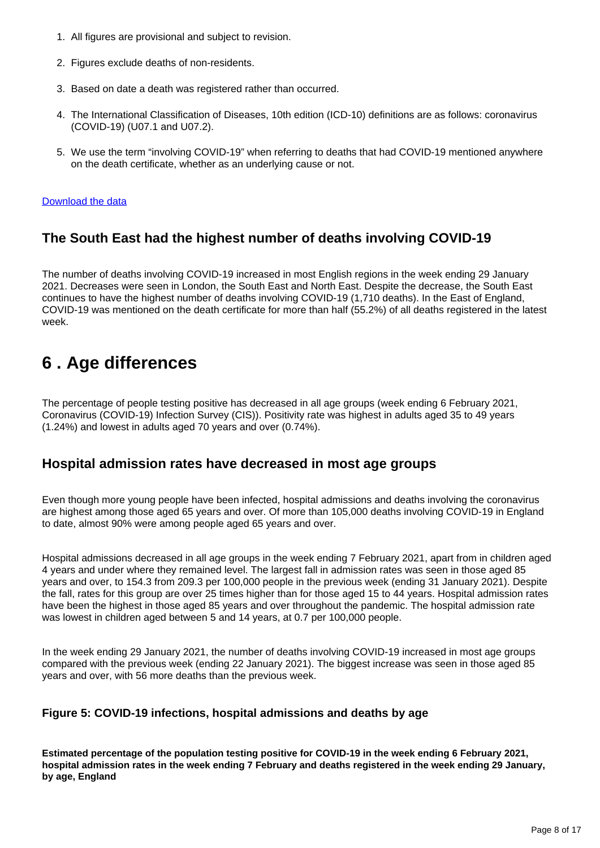- 1. All figures are provisional and subject to revision.
- 2. Figures exclude deaths of non-residents.
- 3. Based on date a death was registered rather than occurred.
- 4. The International Classification of Diseases, 10th edition (ICD-10) definitions are as follows: coronavirus (COVID-19) (U07.1 and U07.2).
- 5. We use the term "involving COVID-19" when referring to deaths that had COVID-19 mentioned anywhere on the death certificate, whether as an underlying cause or not.

#### [Download the data](https://www.ons.gov.uk/visualisations/dvc1193/fig4/wrapper/datadownload.xlsx)

### **The South East had the highest number of deaths involving COVID-19**

The number of deaths involving COVID-19 increased in most English regions in the week ending 29 January 2021. Decreases were seen in London, the South East and North East. Despite the decrease, the South East continues to have the highest number of deaths involving COVID-19 (1,710 deaths). In the East of England, COVID-19 was mentioned on the death certificate for more than half (55.2%) of all deaths registered in the latest week.

## <span id="page-7-0"></span>**6 . Age differences**

The percentage of people testing positive has decreased in all age groups (week ending 6 February 2021, Coronavirus (COVID-19) Infection Survey (CIS)). Positivity rate was highest in adults aged 35 to 49 years (1.24%) and lowest in adults aged 70 years and over (0.74%).

### **Hospital admission rates have decreased in most age groups**

Even though more young people have been infected, hospital admissions and deaths involving the coronavirus are highest among those aged 65 years and over. Of more than 105,000 deaths involving COVID-19 in England to date, almost 90% were among people aged 65 years and over.

Hospital admissions decreased in all age groups in the week ending 7 February 2021, apart from in children aged 4 years and under where they remained level. The largest fall in admission rates was seen in those aged 85 years and over, to 154.3 from 209.3 per 100,000 people in the previous week (ending 31 January 2021). Despite the fall, rates for this group are over 25 times higher than for those aged 15 to 44 years. Hospital admission rates have been the highest in those aged 85 years and over throughout the pandemic. The hospital admission rate was lowest in children aged between 5 and 14 years, at 0.7 per 100,000 people.

In the week ending 29 January 2021, the number of deaths involving COVID-19 increased in most age groups compared with the previous week (ending 22 January 2021). The biggest increase was seen in those aged 85 years and over, with 56 more deaths than the previous week.

#### **Figure 5: COVID-19 infections, hospital admissions and deaths by age**

**Estimated percentage of the population testing positive for COVID-19 in the week ending 6 February 2021, hospital admission rates in the week ending 7 February and deaths registered in the week ending 29 January, by age, England**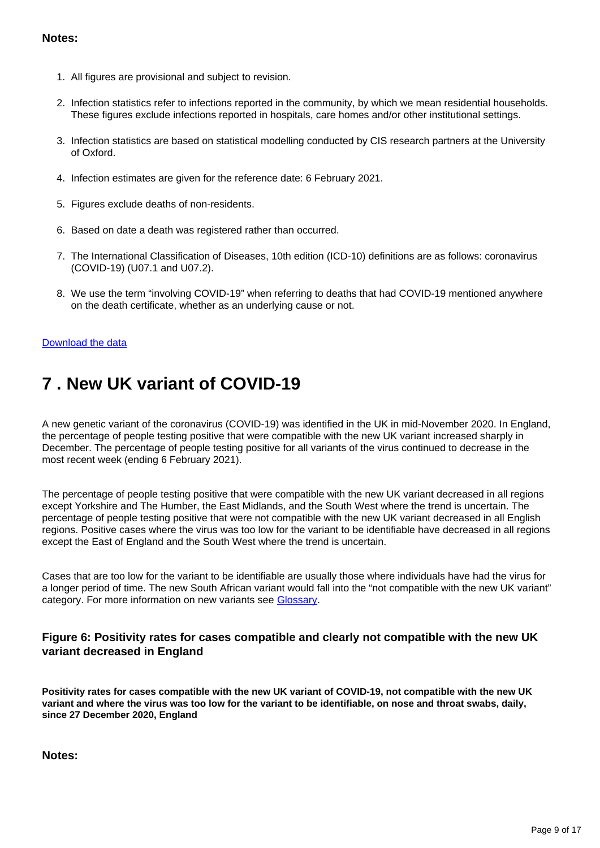#### **Notes:**

- 1. All figures are provisional and subject to revision.
- 2. Infection statistics refer to infections reported in the community, by which we mean residential households. These figures exclude infections reported in hospitals, care homes and/or other institutional settings.
- 3. Infection statistics are based on statistical modelling conducted by CIS research partners at the University of Oxford.
- 4. Infection estimates are given for the reference date: 6 February 2021.
- 5. Figures exclude deaths of non-residents.
- 6. Based on date a death was registered rather than occurred.
- 7. The International Classification of Diseases, 10th edition (ICD-10) definitions are as follows: coronavirus (COVID-19) (U07.1 and U07.2).
- 8. We use the term "involving COVID-19" when referring to deaths that had COVID-19 mentioned anywhere on the death certificate, whether as an underlying cause or not.

#### [Download the data](https://www.ons.gov.uk/visualisations/dvc1193/fig5/wrapper/datadownload.xlsx)

## <span id="page-8-0"></span>**7 . New UK variant of COVID-19**

A new genetic variant of the coronavirus (COVID-19) was identified in the UK in mid-November 2020. In England, the percentage of people testing positive that were compatible with the new UK variant increased sharply in December. The percentage of people testing positive for all variants of the virus continued to decrease in the most recent week (ending 6 February 2021).

The percentage of people testing positive that were compatible with the new UK variant decreased in all regions except Yorkshire and The Humber, the East Midlands, and the South West where the trend is uncertain. The percentage of people testing positive that were not compatible with the new UK variant decreased in all English regions. Positive cases where the virus was too low for the variant to be identifiable have decreased in all regions except the East of England and the South West where the trend is uncertain.

Cases that are too low for the variant to be identifiable are usually those where individuals have had the virus for a longer period of time. The new South African variant would fall into the "not compatible with the new UK variant" category. For more information on new variants see [Glossary.](https://www.ons.gov.uk/peoplepopulationandcommunity/healthandsocialcare/conditionsanddiseases/articles/coronaviruscovid19weeklyinsights/latesthealthindicatorsinengland12february2021#glossary)

#### **Figure 6: Positivity rates for cases compatible and clearly not compatible with the new UK variant decreased in England**

**Positivity rates for cases compatible with the new UK variant of COVID-19, not compatible with the new UK variant and where the virus was too low for the variant to be identifiable, on nose and throat swabs, daily, since 27 December 2020, England**

**Notes:**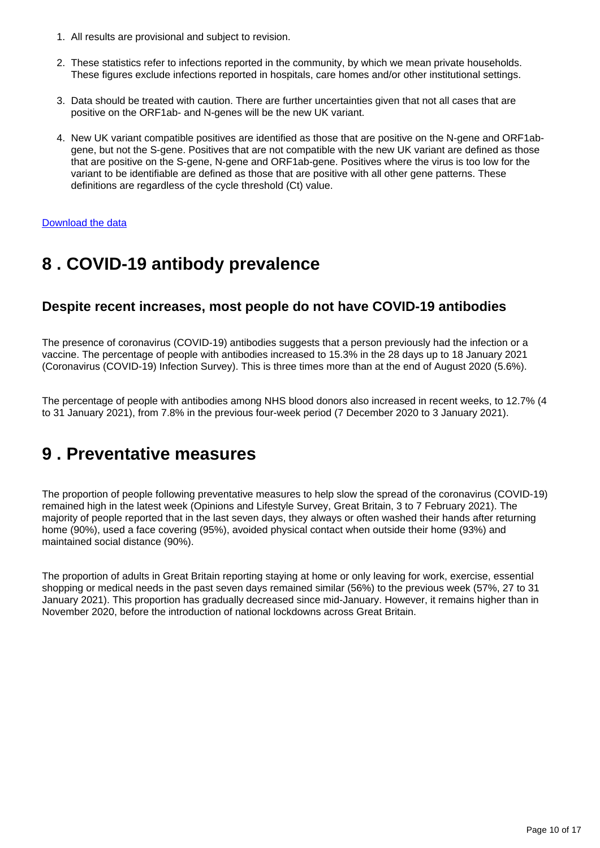- 1. All results are provisional and subject to revision.
- 2. These statistics refer to infections reported in the community, by which we mean private households. These figures exclude infections reported in hospitals, care homes and/or other institutional settings.
- 3. Data should be treated with caution. There are further uncertainties given that not all cases that are positive on the ORF1ab- and N-genes will be the new UK variant.
- 4. New UK variant compatible positives are identified as those that are positive on the N-gene and ORF1abgene, but not the S-gene. Positives that are not compatible with the new UK variant are defined as those that are positive on the S-gene, N-gene and ORF1ab-gene. Positives where the virus is too low for the variant to be identifiable are defined as those that are positive with all other gene patterns. These definitions are regardless of the cycle threshold (Ct) value.

#### [Download the data](https://www.ons.gov.uk/visualisations/dvc1193/newvariant/datadownload.xlsx)

## <span id="page-9-0"></span>**8 . COVID-19 antibody prevalence**

### **Despite recent increases, most people do not have COVID-19 antibodies**

The presence of coronavirus (COVID-19) antibodies suggests that a person previously had the infection or a vaccine. The percentage of people with antibodies increased to 15.3% in the 28 days up to 18 January 2021 (Coronavirus (COVID-19) Infection Survey). This is three times more than at the end of August 2020 (5.6%).

The percentage of people with antibodies among NHS blood donors also increased in recent weeks, to 12.7% (4 to 31 January 2021), from 7.8% in the previous four-week period (7 December 2020 to 3 January 2021).

## <span id="page-9-1"></span>**9 . Preventative measures**

The proportion of people following preventative measures to help slow the spread of the coronavirus (COVID-19) remained high in the latest week (Opinions and Lifestyle Survey, Great Britain, 3 to 7 February 2021). The majority of people reported that in the last seven days, they always or often washed their hands after returning home (90%), used a face covering (95%), avoided physical contact when outside their home (93%) and maintained social distance (90%).

The proportion of adults in Great Britain reporting staying at home or only leaving for work, exercise, essential shopping or medical needs in the past seven days remained similar (56%) to the previous week (57%, 27 to 31 January 2021). This proportion has gradually decreased since mid-January. However, it remains higher than in November 2020, before the introduction of national lockdowns across Great Britain.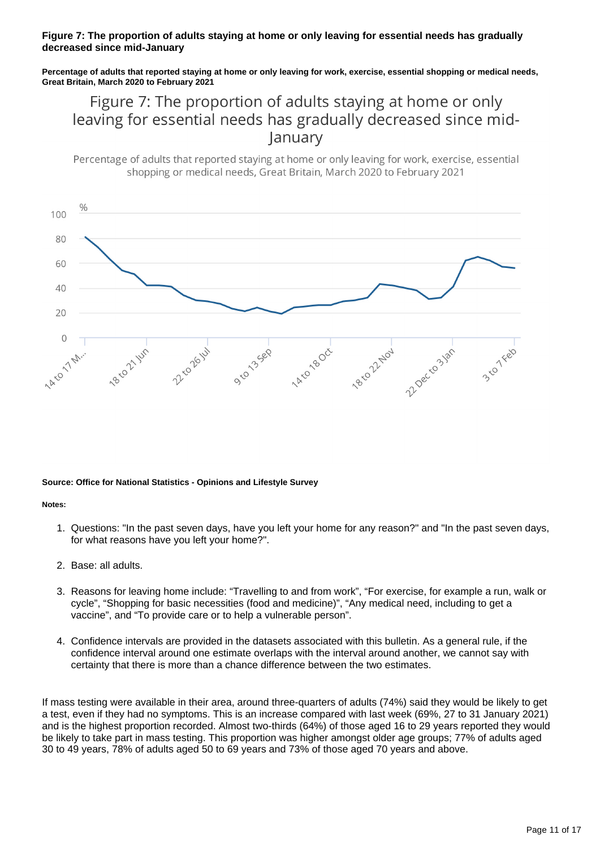#### **Figure 7: The proportion of adults staying at home or only leaving for essential needs has gradually decreased since mid-January**

**Percentage of adults that reported staying at home or only leaving for work, exercise, essential shopping or medical needs, Great Britain, March 2020 to February 2021**

## Figure 7: The proportion of adults staying at home or only leaving for essential needs has gradually decreased since midlanuary

Percentage of adults that reported staying at home or only leaving for work, exercise, essential shopping or medical needs. Great Britain, March 2020 to February 2021



#### **Source: Office for National Statistics - Opinions and Lifestyle Survey**

#### **Notes:**

- 1. Questions: "In the past seven days, have you left your home for any reason?" and "In the past seven days, for what reasons have you left your home?".
- 2. Base: all adults.
- 3. Reasons for leaving home include: "Travelling to and from work", "For exercise, for example a run, walk or cycle", "Shopping for basic necessities (food and medicine)", "Any medical need, including to get a vaccine", and "To provide care or to help a vulnerable person".
- 4. Confidence intervals are provided in the datasets associated with this bulletin. As a general rule, if the confidence interval around one estimate overlaps with the interval around another, we cannot say with certainty that there is more than a chance difference between the two estimates.

If mass testing were available in their area, around three-quarters of adults (74%) said they would be likely to get a test, even if they had no symptoms. This is an increase compared with last week (69%, 27 to 31 January 2021) and is the highest proportion recorded. Almost two-thirds (64%) of those aged 16 to 29 years reported they would be likely to take part in mass testing. This proportion was higher amongst older age groups; 77% of adults aged 30 to 49 years, 78% of adults aged 50 to 69 years and 73% of those aged 70 years and above.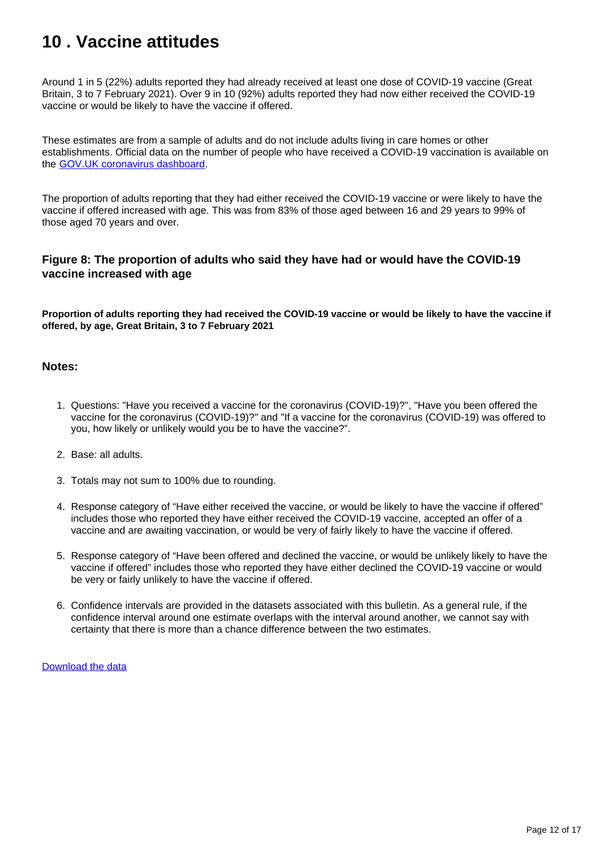## <span id="page-11-0"></span>**10 . Vaccine attitudes**

Around 1 in 5 (22%) adults reported they had already received at least one dose of COVID-19 vaccine (Great Britain, 3 to 7 February 2021). Over 9 in 10 (92%) adults reported they had now either received the COVID-19 vaccine or would be likely to have the vaccine if offered.

These estimates are from a sample of adults and do not include adults living in care homes or other establishments. Official data on the number of people who have received a COVID-19 vaccination is available on the [GOV.UK coronavirus dashboard.](https://coronavirus.data.gov.uk/)

The proportion of adults reporting that they had either received the COVID-19 vaccine or were likely to have the vaccine if offered increased with age. This was from 83% of those aged between 16 and 29 years to 99% of those aged 70 years and over.

#### **Figure 8: The proportion of adults who said they have had or would have the COVID-19 vaccine increased with age**

**Proportion of adults reporting they had received the COVID-19 vaccine or would be likely to have the vaccine if offered, by age, Great Britain, 3 to 7 February 2021**

#### **Notes:**

- 1. Questions: "Have you received a vaccine for the coronavirus (COVID-19)?", "Have you been offered the vaccine for the coronavirus (COVID-19)?" and "If a vaccine for the coronavirus (COVID-19) was offered to you, how likely or unlikely would you be to have the vaccine?".
- 2. Base: all adults.
- 3. Totals may not sum to 100% due to rounding.
- 4. Response category of "Have either received the vaccine, or would be likely to have the vaccine if offered" includes those who reported they have either received the COVID-19 vaccine, accepted an offer of a vaccine and are awaiting vaccination, or would be very of fairly likely to have the vaccine if offered.
- 5. Response category of "Have been offered and declined the vaccine, or would be unlikely likely to have the vaccine if offered" includes those who reported they have either declined the COVID-19 vaccine or would be very or fairly unlikely to have the vaccine if offered.
- 6. Confidence intervals are provided in the datasets associated with this bulletin. As a general rule, if the confidence interval around one estimate overlaps with the interval around another, we cannot say with certainty that there is more than a chance difference between the two estimates.

[Download the data](https://www.ons.gov.uk/visualisations/dvc1188/vaccine-agegroup/datadownload.xlsx)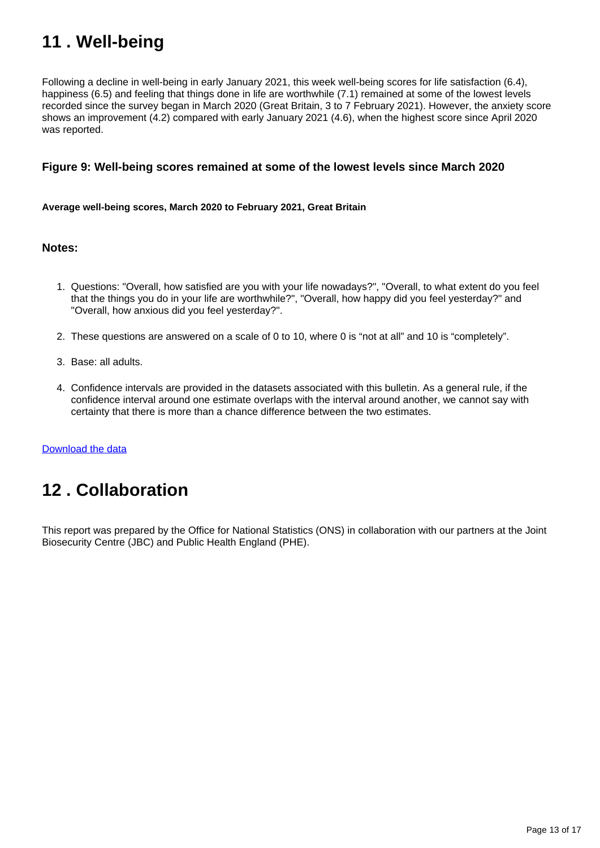## <span id="page-12-0"></span>**11 . Well-being**

Following a decline in well-being in early January 2021, this week well-being scores for life satisfaction (6.4), happiness (6.5) and feeling that things done in life are worthwhile (7.1) remained at some of the lowest levels recorded since the survey began in March 2020 (Great Britain, 3 to 7 February 2021). However, the anxiety score shows an improvement (4.2) compared with early January 2021 (4.6), when the highest score since April 2020 was reported.

#### **Figure 9: Well-being scores remained at some of the lowest levels since March 2020**

**Average well-being scores, March 2020 to February 2021, Great Britain**

#### **Notes:**

- 1. Questions: "Overall, how satisfied are you with your life nowadays?", "Overall, to what extent do you feel that the things you do in your life are worthwhile?", "Overall, how happy did you feel yesterday?" and "Overall, how anxious did you feel yesterday?".
- 2. These questions are answered on a scale of 0 to 10, where 0 is "not at all" and 10 is "completely".
- 3. Base: all adults.
- 4. Confidence intervals are provided in the datasets associated with this bulletin. As a general rule, if the confidence interval around one estimate overlaps with the interval around another, we cannot say with certainty that there is more than a chance difference between the two estimates.

[Download the data](https://www.ons.gov.uk/visualisations/dvc1188/wellbeing/wrapper/datadownload.xlsx)

## <span id="page-12-1"></span>**12 . Collaboration**

This report was prepared by the Office for National Statistics (ONS) in collaboration with our partners at the Joint Biosecurity Centre (JBC) and Public Health England (PHE).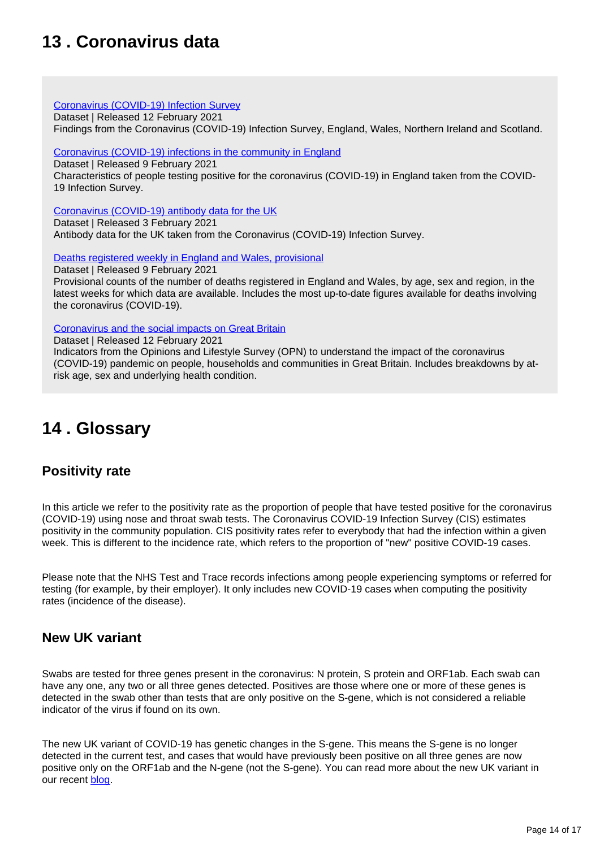## <span id="page-13-0"></span>**13 . Coronavirus data**

#### [Coronavirus \(COVID-19\) Infection Survey](https://www.ons.gov.uk/peoplepopulationandcommunity/healthandsocialcare/conditionsanddiseases/datasets/coronaviruscovid19infectionsurveydata)

Dataset | Released 12 February 2021

Findings from the Coronavirus (COVID-19) Infection Survey, England, Wales, Northern Ireland and Scotland.

#### [Coronavirus \(COVID-19\) infections in the community in England](https://www.ons.gov.uk/peoplepopulationandcommunity/healthandsocialcare/conditionsanddiseases/datasets/coronaviruscovid19infectionsinthecommunityinengland)

Dataset | Released 9 February 2021 Characteristics of people testing positive for the coronavirus (COVID-19) in England taken from the COVID-19 Infection Survey.

[Coronavirus \(COVID-19\) antibody data for the UK](https://www.ons.gov.uk/peoplepopulationandcommunity/healthandsocialcare/conditionsanddiseases/datasets/coronaviruscovid19antibodydatafortheuk)

Dataset | Released 3 February 2021 Antibody data for the UK taken from the Coronavirus (COVID-19) Infection Survey.

[Deaths registered weekly in England and Wales, provisional](https://www.ons.gov.uk/peoplepopulationandcommunity/birthsdeathsandmarriages/deaths/datasets/weeklyprovisionalfiguresondeathsregisteredinenglandandwales)

Dataset | Released 9 February 2021

Provisional counts of the number of deaths registered in England and Wales, by age, sex and region, in the latest weeks for which data are available. Includes the most up-to-date figures available for deaths involving the coronavirus (COVID-19).

[Coronavirus and the social impacts on Great Britain](https://www.ons.gov.uk/peoplepopulationandcommunity/healthandsocialcare/healthandwellbeing/datasets/coronavirusandthesocialimpactsongreatbritaindata)

Dataset | Released 12 February 2021 Indicators from the Opinions and Lifestyle Survey (OPN) to understand the impact of the coronavirus (COVID-19) pandemic on people, households and communities in Great Britain. Includes breakdowns by atrisk age, sex and underlying health condition.

## <span id="page-13-1"></span>**14 . Glossary**

### **Positivity rate**

In this article we refer to the positivity rate as the proportion of people that have tested positive for the coronavirus (COVID-19) using nose and throat swab tests. The Coronavirus COVID-19 Infection Survey (CIS) estimates positivity in the community population. CIS positivity rates refer to everybody that had the infection within a given week. This is different to the incidence rate, which refers to the proportion of "new" positive COVID-19 cases.

Please note that the NHS Test and Trace records infections among people experiencing symptoms or referred for testing (for example, by their employer). It only includes new COVID-19 cases when computing the positivity rates (incidence of the disease).

### **New UK variant**

Swabs are tested for three genes present in the coronavirus: N protein, S protein and ORF1ab. Each swab can have any one, any two or all three genes detected. Positives are those where one or more of these genes is detected in the swab other than tests that are only positive on the S-gene, which is not considered a reliable indicator of the virus if found on its own.

The new UK variant of COVID-19 has genetic changes in the S-gene. This means the S-gene is no longer detected in the current test, and cases that would have previously been positive on all three genes are now positive only on the ORF1ab and the N-gene (not the S-gene). You can read more about the new UK variant in our recent **[blog](https://blog.ons.gov.uk/2021/01/29/understanding-the-uk-variant-how-the-ons-is-monitoring-the-new-strain-of-covid-19/)**.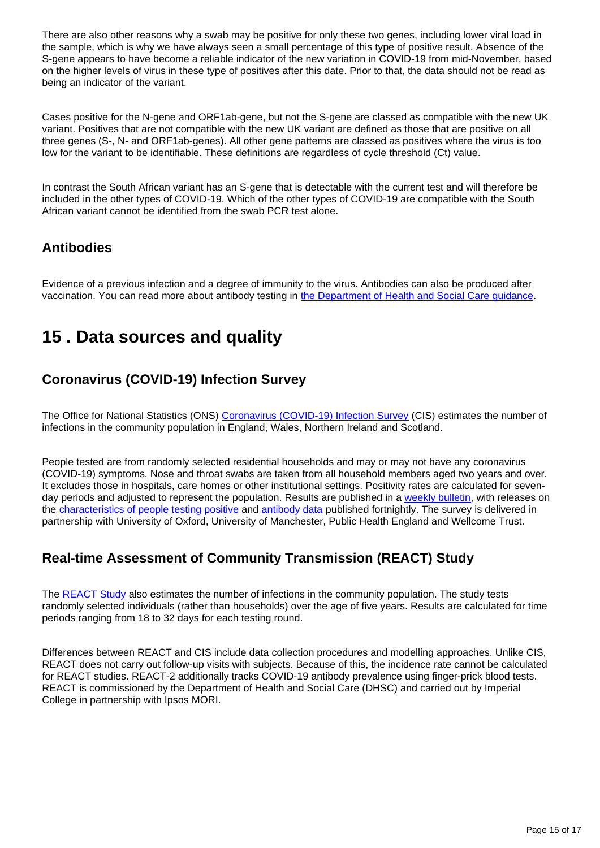There are also other reasons why a swab may be positive for only these two genes, including lower viral load in the sample, which is why we have always seen a small percentage of this type of positive result. Absence of the S-gene appears to have become a reliable indicator of the new variation in COVID-19 from mid-November, based on the higher levels of virus in these type of positives after this date. Prior to that, the data should not be read as being an indicator of the variant.

Cases positive for the N-gene and ORF1ab-gene, but not the S-gene are classed as compatible with the new UK variant. Positives that are not compatible with the new UK variant are defined as those that are positive on all three genes (S-, N- and ORF1ab-genes). All other gene patterns are classed as positives where the virus is too low for the variant to be identifiable. These definitions are regardless of cycle threshold (Ct) value.

In contrast the South African variant has an S-gene that is detectable with the current test and will therefore be included in the other types of COVID-19. Which of the other types of COVID-19 are compatible with the South African variant cannot be identified from the swab PCR test alone.

### **Antibodies**

Evidence of a previous infection and a degree of immunity to the virus. Antibodies can also be produced after vaccination. You can read more about antibody testing in [the Department of Health and Social Care guidance](https://www.gov.uk/government/publications/coronavirus-covid-19-antibody-tests/coronavirus-covid-19-antibody-tests).

## <span id="page-14-0"></span>**15 . Data sources and quality**

### **Coronavirus (COVID-19) Infection Survey**

The Office for National Statistics (ONS) [Coronavirus \(COVID-19\) Infection Survey](https://www.ons.gov.uk/peoplepopulationandcommunity/healthandsocialcare/conditionsanddiseases/bulletins/coronaviruscovid19infectionsurveypilot/latest) (CIS) estimates the number of infections in the community population in England, Wales, Northern Ireland and Scotland.

People tested are from randomly selected residential households and may or may not have any coronavirus (COVID-19) symptoms. Nose and throat swabs are taken from all household members aged two years and over. It excludes those in hospitals, care homes or other institutional settings. Positivity rates are calculated for sevenday periods and adjusted to represent the population. Results are published in a [weekly bulletin](https://www.ons.gov.uk/peoplepopulationandcommunity/healthandsocialcare/conditionsanddiseases/bulletins/coronaviruscovid19infectionsurveypilot/latest), with releases on the [characteristics of people testing positive](https://www.ons.gov.uk/peoplepopulationandcommunity/healthandsocialcare/conditionsanddiseases/articles/coronaviruscovid19infectionsinthecommunityinengland/latest) and [antibody data](https://www.ons.gov.uk/peoplepopulationandcommunity/healthandsocialcare/conditionsanddiseases/articles/coronaviruscovid19infectionsurveyantibodydatafortheuk/latest) published fortnightly. The survey is delivered in partnership with University of Oxford, University of Manchester, Public Health England and Wellcome Trust.

### **Real-time Assessment of Community Transmission (REACT) Study**

The [REACT Study](https://www.imperial.ac.uk/medicine/research-and-impact/groups/react-study/) also estimates the number of infections in the community population. The study tests randomly selected individuals (rather than households) over the age of five years. Results are calculated for time periods ranging from 18 to 32 days for each testing round.

Differences between REACT and CIS include data collection procedures and modelling approaches. Unlike CIS, REACT does not carry out follow-up visits with subjects. Because of this, the incidence rate cannot be calculated for REACT studies. REACT-2 additionally tracks COVID-19 antibody prevalence using finger-prick blood tests. REACT is commissioned by the Department of Health and Social Care (DHSC) and carried out by Imperial College in partnership with Ipsos MORI.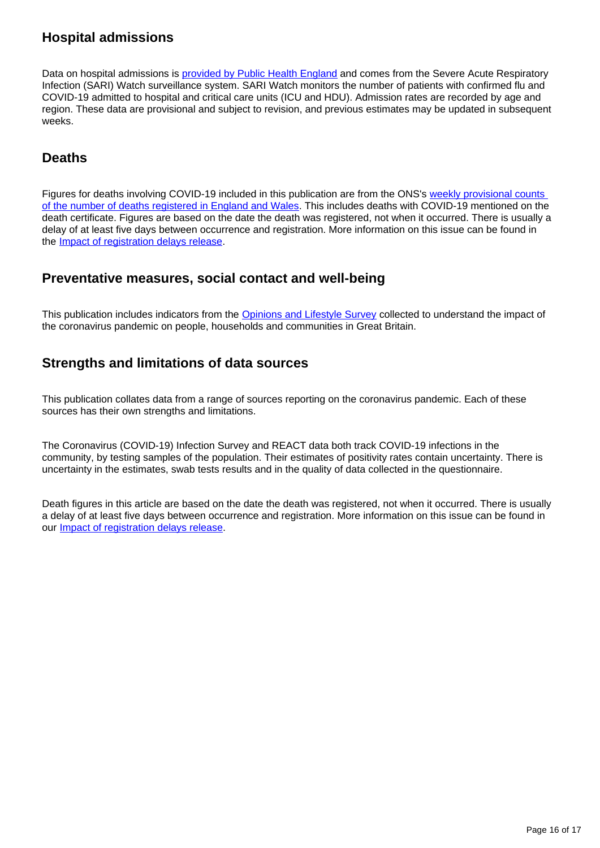### **Hospital admissions**

Data on hospital admissions is [provided by Public Health England](https://www.gov.uk/government/statistics/national-flu-and-covid-19-surveillance-reports) and comes from the Severe Acute Respiratory Infection (SARI) Watch surveillance system. SARI Watch monitors the number of patients with confirmed flu and COVID-19 admitted to hospital and critical care units (ICU and HDU). Admission rates are recorded by age and region. These data are provisional and subject to revision, and previous estimates may be updated in subsequent weeks.

### **Deaths**

Figures for deaths involving COVID-19 included in this publication are from the ONS's [weekly provisional counts](https://www.ons.gov.uk/peoplepopulationandcommunity/birthsdeathsandmarriages/deaths/bulletins/deathsregisteredweeklyinenglandandwalesprovisional/latest)  [of the number of deaths registered in England and Wales.](https://www.ons.gov.uk/peoplepopulationandcommunity/birthsdeathsandmarriages/deaths/bulletins/deathsregisteredweeklyinenglandandwalesprovisional/latest) This includes deaths with COVID-19 mentioned on the death certificate. Figures are based on the date the death was registered, not when it occurred. There is usually a delay of at least five days between occurrence and registration. More information on this issue can be found in the [Impact of registration delays release.](https://www.ons.gov.uk/peoplepopulationandcommunity/birthsdeathsandmarriages/deaths/articles/impactofregistrationdelaysonmortalitystatisticsinenglandandwales/2018)

### **Preventative measures, social contact and well-being**

This publication includes indicators from the [Opinions and Lifestyle Survey](https://www.ons.gov.uk/peoplepopulationandcommunity/healthandsocialcare/healthandwellbeing/bulletins/coronavirusandthesocialimpactsongreatbritain/latest) collected to understand the impact of the coronavirus pandemic on people, households and communities in Great Britain.

### **Strengths and limitations of data sources**

This publication collates data from a range of sources reporting on the coronavirus pandemic. Each of these sources has their own strengths and limitations.

The Coronavirus (COVID-19) Infection Survey and REACT data both track COVID-19 infections in the community, by testing samples of the population. Their estimates of positivity rates contain uncertainty. There is uncertainty in the estimates, swab tests results and in the quality of data collected in the questionnaire.

Death figures in this article are based on the date the death was registered, not when it occurred. There is usually a delay of at least five days between occurrence and registration. More information on this issue can be found in our **Impact of registration delays release**.